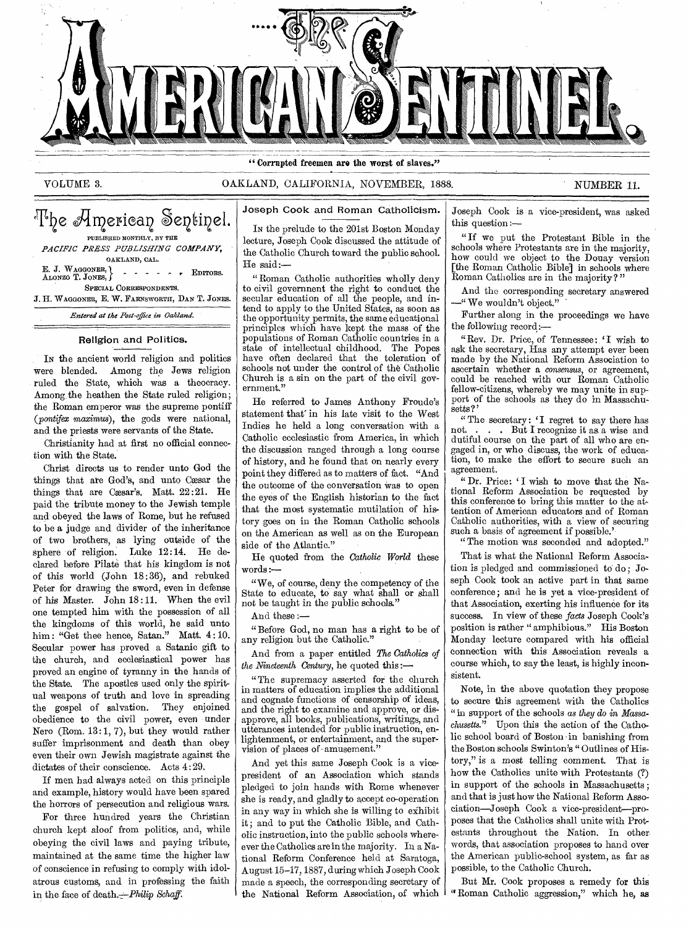

" Corrupted freemen are the worst of slaves."

VOLUME 3. OAKLAND, CALIFORNIA, NOVEMBER, 1888. NUMBER 11.

| The American Sentinel.<br>PUBLISHED MONTHLY, BY THE       |
|-----------------------------------------------------------|
|                                                           |
| PACIFIC PRESS PUBLISHING COMPANY,                         |
| OAKLAND, CAL.                                             |
| E. J. WAGGONER, \<br>ALONZO T. JONES, \<br>$  +$ EDITORS. |
| SPECIAL CORRESPONDENTS.                                   |
| J. H. WAGGONER, E. W. FARNSWORTH, DAN T. JONES.           |
| Entered at the Post-office in Oakland.                    |

# Religion and Politics.

IN the ancient world religion and politics were blended. Among the Jews religion ruled the State, which was a theocracy. Among the heathen the State ruled religion; the Roman emperor was the supreme pontiff (*pontifex maximus*), the gods were national, and the priests were servants of the State.

Christianity had at first no official connection with the State.

Christ directs us to render unto God the things that are God's, and unto Cæsar the things that are Cæsar's. Matt.  $22:21$ . He paid the tribute money to the Jewish temple and obeyed the laws of Rome, but he refused to be a judge and divider of the inheritance of two brothers, as lying outside of the sphere of religion. Luke 12:14. He declared before Pilate that his kingdom is not of this world (John 18:36), and rebuked Peter for drawing the sword, even in defense of his Master. John 18:11. When the evil one tempted him with the possession of all the kingdoms of this world, he said unto him: "Get thee hence, Satan." Matt. 4:10. Secular power has proved a Satanic gift to the church, and ecclesiastical power has proved an engine of tyranny in the hands of the State. The apostles used only the spiritual weapons of truth and love in spreading the gospel of salvation. They enjoined obedience to the civil power, even under Nero (Rom. 13:1, 7), but they would rather suffer imprisonment and death than obey even their own Jewish magistrate against the dictates of their conscience. Acts 4:29.

If men had always acted on this principle and example, history would have been spared the horrors of persecution and religious wars.

For three hundred years the Christian church kept aloof from politics, and, while obeying the civil laws and paying tribute, maintained at the same time the higher law of conscience in refusing to comply with idolatrous customs, and in professing the faith in the face of death.—Philip *Schaff.* 

Joseph Cook and Roman Catholicism.

IN the prelude to the 201st Boston Monday lecture, Joseph Cook discussed the attitude of the Catholic Church toward the public school. He said:—

"Roman Catholic authorities wholly deny to civil governnent the right to conduct the secular education of all the people, and intend to apply to the United States, as soon as the opportunity permits, the same educational principles which have kept the mass of the populations of Roman Catholic countries in a state of intellectual childhood. The Popes have often declared that the toleration of schools not under the control of the Catholic Church is a sin on the part of the civil government."

He referred to James Anthony Froude's statement that' in his late visit to the West Indies he held a long conversation with a Catholic ecclesiastic from America, in which the discussion ranged through a long course of history, and he found that on nearly every point they differed as to matters of fact. "And the outcome of the conversation was to open the eyes of the English historian to the fact that the most systematic mutilation of history goes on in the Roman Catholic schools on the American as well as on the European side of the Atlantic."

He quoted from the *Catholic World* these words :—

"We, of course, deny the competency of the State to educate, to say what shall or shall not be taught in the public schools."

And these :—

"Before God, no man has a right to be of any religion but the Catholic."

And from a paper entitled *The Catholics of*  the Nineteenth Century, he quoted this :-

"The supremacy asserted for the church in matters of education implies the additional and cognate functions of censorship of ideas, and the right to examine and approve, or disapprove, all books, publications, writings, and utterances intended for public instruction, enlightenment, or entertainment, and the supervision of places of amusement."

And yet this same Joseph Cook is a vicepresident of an Association which stands pledged to join hands with Rome whenever she is ready, and gladly to accept co-operation in any way in which she is willing to exhibit it; and to put the Catholic Bible, and Catholic instruction, into the public schools whereever the Catholics are in the majority. In a National Reform Conference held at Saratoga, August 15-17, 1887, during which Joseph Cook made a speech, the corresponding secretary of the National Reform Association, of which

Joseph Cook is a vice-president, was asked this question :—

" If we put the Protestant Bible in the schools where Protestants are in the majority, how could we object to the Douay version [the Roman Catholic Bible] in schools where Roman Catholics are in the majority ? "

And the corresponding secretary answered —" We wouldn't object."

Further along in the proceedings we have the following record:—

" Rev. Dr. Price, of Tennessee : 'I wish to ask the secretary, Has any attempt ever been made by the National Reform Association to ascertain whether a *consensus,* or agreement, could be reached with our Roman Catholic fellow-citizens, whereby we may unite in support of the schools as they do in Massachusetts?

" The secretary: 'I regret to say there has not... But I recognize it as a wise and . . . But I recognize it as a wise and dutiful course on the part of all who are engaged in, or who discuss, the work of education, to make the effort to secure such an agreement.

" Dr. Price: I wish to move that the National Reform Association be requested by this conference to bring this matter to the attention of American educators and of Roman Catholic authorities, with a view of securing such a basis of agreement if possible.'

"The motion was seconded and adopted."

That is what the National Reform Association is pledged and commissioned to do; Joseph Cook took an active part in that same conference; and he is yet a vice-president of that Association, exerting his influence for its success. In view of these *facts* Joseph Cook's position is rather " amphibious." His Boston Monday lecture compared with his official connection with this Association reveals a course which, to say the least, is highly inconsistent.

Note, in the above quotation they propose to secure this agreement with the Catholics "in support of the schools *as they do in Massachusetts."* Upon this the action of the Catholic school board of Boston in banishing from the Boston schools Swinton's " Outlines of History," is a most telling comment. That is how the Catholics unite with Protestants (?) in support of the schools in Massachusetts ; and that is just how the National Reform Association—Joseph Cook a vice-president—proposes that the Catholics shall unite with Protestants throughout the Nation. In other words, that association proposes to hand over the American public-school system, as far as possible, to the Catholic Church.

But Mr. Cook proposes a remedy for this "Roman Catholic aggression," which he, as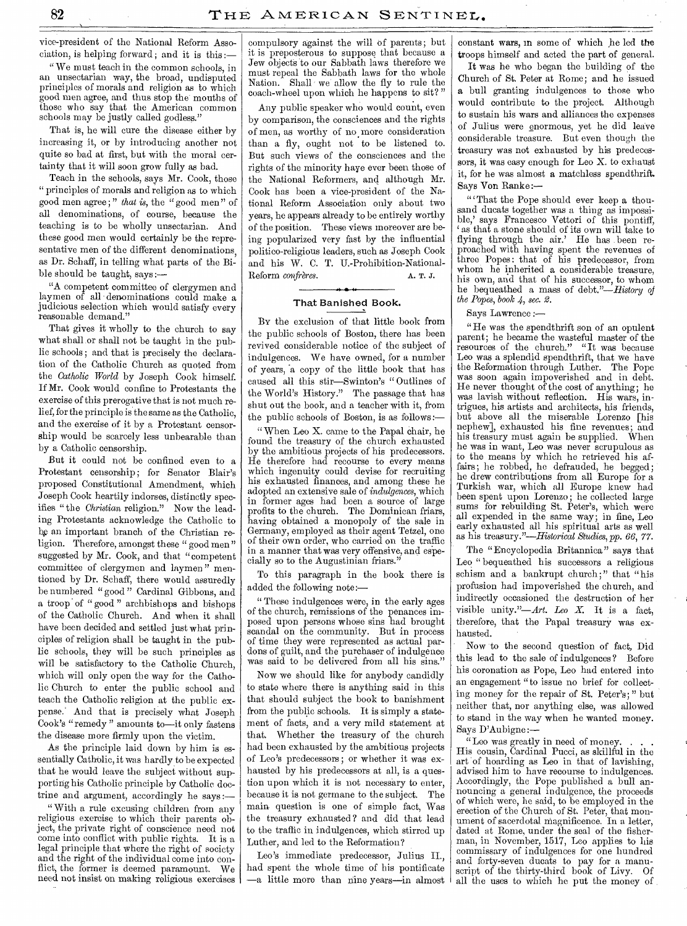vice-president of the National Reform Association, is helping forward ; and it is this :—

" We must teach in the common schools, in an unsectarian way, the broad, undisputed principles of morals and religion as to which good men agree, and thus stop the mouths of those who say that the American common schools may be justly called godless.

That is, he will cure the disease either by increasing it, or by introducing another not quite so bad at first, but with the moral certainty that it will soon grow fully as bad.

Teach in the schools, says Mr. Cook, those " principles of morals and religion as to which good men agree ; " *that is,* the " good men" of all denominations, of course, because the teaching is to be wholly unsectarian. And these good men would certainly be the representative men of the different denominations, as Dr. Schaff, in telling what parts of the Bible should be taught, says :—

"A competent committee of clergymen and laymen of all denominations could make a judicious selection which would satisfy every reasonable demand."

That gives it wholly to the church to say what shall or shall not be taught in the public schools ; and that is precisely the declaration of the Catholic Church as quoted from the *Catholic World* by Joseph Cook himself. If Mr. Cook would confine to Protestants the exercise of this prerogative that is not much relief, for the principle is the same as the Catholic, and the exercise of it by a Protestant censorship would be scarcely less unbearable than by a Catholic censorship.

But it could not be confined even to a Protestant censorship; for Senator Blair's proposed Constitutional Amendment, which Joseph Cook heartily indorses, distinctly specifies " the *Christian* religion." Now the leading Protestants acknowledge the Catholic to he an important branch of the Christian religion. Therefore, amongst these " good men" suggested by Mr. Cook, and that "competent committee of clergymen and laymen " mentioned by Dr. Schaff, there would assuredly be numbered "good" Cardinal Gibbons, and a troop of "good" archbishops and bishops of the Catholic Church. And when it shall have been decided and settled just what principles of religion shall be taught in the public schools, they will be such principles as will be satisfactory to the Catholic Church, which will only open the way for the Catholic Church to enter the public school and teach the Catholic religion at the public expense.' And that is precisely what Joseph Cook's "remedy " amounts to—it only fastens the disease more firmly upon the victim.

As the principle laid down by him is essentially Catholic, it was hardly to be expected that he would leave the subject without supporting his Catholic principle by Catholic doctrine and argument, accordingly he says :—

"With a rule excusing children from any religious exercise to which their parents object, the private right of conscience need not come into conflict with public rights. It is a legal principle that where the right of society and the right of the individual come into conflict, the former is deemed paramount. We need not insist on making religious exercises

compulsory against the will of parents; but it is preposterous to suppose that because a Jew objects to our Sabbath laws therefore we must repeal the Sabbath laws for the whole Nation. Shall we' allow the fly to rule the coach-wheel upon which he happens to sit? "

Any public speaker who would count, even by comparison, the consciences and the rights of men, as worthy of no more consideration than a fly, ought not to be listened to. But such views of the consciences and the rights of the minority haye ever been those of the National Reformers, and although Mr. Cook has been a vice-president of the National Reform Association only about two years, he appears already to be entirely worthy of the position. These views moreover are being popularized very fast by the influential politico-religious leaders, such as Joseph Cook and his W. C. T. U.-Prohibition-National-Reform *confrères*. A. T. J.

# **al,• -4-**  That Banished Book.

By the exclusion of that little book from the public schools of Boston, there has been revived considerable notice of the subject of indulgences. We have owned, for a number of years, a copy of the little book that has caused all this stir—Swinton's " Outlines of the World's History." The passage that has shut out the book, and a teacher with it, from the public schools of Boston, is as follows:—

" When Leo X. came to the Papal chair, he found the treasury of the church exhausted by the ambitious projects of his predecessors. He therefore had recourse to every means which ingenuity could devise for recruiting his exhausted finances, and among these he adopted an extensive sale of *indulgences,* which in former ages had been a source of large profits to the church. The Dominican friars, having obtained a monopoly of the sale in Germany, employed as their agent Tetzel, one of their own order, who carried on the traffic in a manner that was very offensive, and especially so to the Augustinian friars."

To this paragraph in the book there is added the following note:—

" These indulgences were, in the early ages of the church, remissions of the penances imposed upon persons whose sins had brought scandal on the community. But in process of time they were represented as actual pardons of guilt, and the purchaser of indulgence was said to be delivered from all his sins."

Now we should like for anybody candidly to state where there is anything said in this that should subject the book to banishment from the public schools. It is simply a statement of facts, and a very mild statement at that. Whether the treasury of the church had been exhausted by the ambitious projects of Leo's predecessors; or whether it was exhausted by his predecessors at all, is a question upon which it is not necessary to enter, because it is not germane to the subject. The main question is one of simple fact, Was the treasury exhausted ? and did that lead to the traffic in indulgences, which stirred up Luther, and led to the Reformation?

Leo's immediate predecessor, Julius II., had spent the whole time of his pontificate —a little more than nine years—in almost

constant wars, in some of which he led the troops himself and acted the part of general.

It was he who began the building of the Church of St. Peter at Rome; and he issued a bull granting indulgences to those who would contribute to the project. Although to sustain his wars and alliances the expenses of Julius were enormous, yet he did leave considerable treasure. But even though the treasury was not exhausted by his predecessors, it was easy enough for Leo X. to exhaust it, for he was almost a matchless spendthrift. Says Von Ranke

" That the Pope should ever keep a thousand ducats together was a thing as impossible,' says Francesco Vettori of this pontiff, as that a stone should of its own will take to flying through the air.' He has been reproached with having spent the revenues of three Popes: that of his predecessor, from whom he inherited a considerable treasure, his own, and that of his successor, to whom he bequeathed a mass of debt."—History *of the Popes, book 4, sec. 2.* 

Says Lawrence :—

"He was the spendthrift son of an opulent parent; he became the wasteful master of the resources of the church." "It was because Leo was a splendid spendthrift, that we have the Reformation through Luther. The Pope was soon again impoverished and in debt. He never thought of the cost of anything; he was lavish without reflection. His wars, intrigues, his artists and architects, his friends, but above all the miserable Lorenzo [his nephew], exhausted his fine revenues; and his treasury must again be supplied. When he was in want, Leo was never scrupulous as to the means by which he retrieved his affairs; he robbed, he defrauded, he begged; he drew contributions from all Europe for a Turkish war, which all Europe knew had been spent upon Lorenzo ; he collected large sums for rebuilding St. Peter's, which were all expended in the same way; in fine, Leo early exhausted all his spiritual arts as well as his *treasury."—Historical Studies, pp. 66,* 77.

The "Encyclopedia Britannica" says that Leo " bequeathed his successors a religious schism and a bankrupt church;" that "his profusion had impoverished the church, and indirectly occasioned the destruction of her visible unity."—Art. *Leo X.* It is a fact, therefore, that the Papal treasury was exhausted.

Now to the second question of fact, Did this lead to the sale of indulgences ? Before his coronation as Pope, Leo had entered into an engagement "to issue no brief for collecting money for the repair of St. Peter's; " but neither that, nor anything else, was allowed to stand in the way when he wanted money. Says D'Aubigne :—

"Leo was greatly in need of money. His cousin, Cardinal Pucci, as skillful in the art 'of hoarding as Leo in that of lavishing, advised him to have recourse to indulgences. Accordingly, the Pope published a bull announcing a general indulgence, the proceeds of which were, he said, to be employed in the erection of the Church of St. Peter, that monument of sacerdotal magnificence. In a letter, dated at Rome, under the seal of the fisherman, in November, 1517, Leo applies to his commissary of indulgences for one hundred and forty-seven ducats to pay for a manuscript of the thirty-third book of Livy. Of all the uses to which he put the money of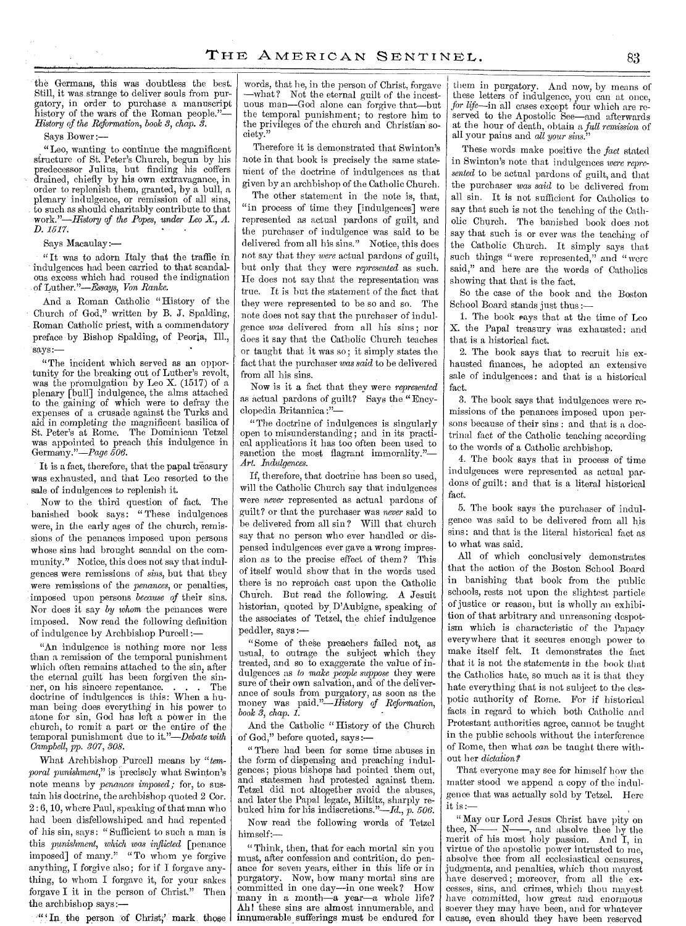the Germans, this was doubtless the best. Still, it was strange to deliver souls from purgatory, in order to purchase a manuscript history of the wars of the Roman people."— History of the Reformation, book 3, chap. 3.

Says Bower :—

"Leo, wanting to continue the magnificent structure of St. Peter's Church, begun by his predecessor Julius, but finding his coffers drained, chiefly by his own extravagance, in order to replenish them, granted, by a bull, a plenary indulgence, or remission of all sins, to such as should charitably contribute to that *work."—History of the Popes, under Leo X., A. D. 1517.* 

Says Macaulay:—

" It was to adorn Italy that the traffic in indulgences had been carried to that scandalous excess which had roused the indignation of *Luther."—Essays, Von Ranke.* 

And a Roman Catholic "History of the Church of God," written by B. J. Spalding, Roman Catholic priest, with a commendatory preface by Bishop Spalding, of Peoria, Ill., says:

"The incident which served as an opportunity for the breaking out of Luther's revolt, was the promulgation by Leo X. (1517) of a plenary [bull] indulgence, the alms attached to the gaining of which were to defray the expenses of a crusade against the Turks and aid in completing the magnificent basilica of St. Peter's at Rome. The Dominican Tetzel was appointed to preach this indulgence in Germany."—Page *506.* 

It is a fact, therefore, that the papal treasury was exhausted, and that Leo resorted to the sale of indulgences to replenish it.

Now to the third question of fact. The banished book says: "These indulgences were, in the early ages of the church, remissions of the penances imposed upon persons whose sins had brought scandal on the community." Notice, this does not say that indulgences were remissions of *sins,* but that they were remissions of the *penances,* or penalties, imposed upon persons *because of* their sins. Nor does it say *by whom* the penances were imposed. Now read the following definition of indulgence by Archbishop Purcell :—

"An indulgence is nothing more nor less than a remission of the temporal punishment which often remains attached to the sin, after the eternal guilt has been forgiven the sinner, on his sincere repentance. . . . The doctrine of indulgences is this: When a human being does everything in his power to atone for sin, God has left a power in the church, to remit a part or the entire of the temporal punishment due to *it."—Debate with Campbell, pp. 307, 308.* 

What Archbishop Purcell means by *"temporal punishment*," is precisely what Swinton's note means by *penances imposed;* for, to sustain his doctrine, the archbishop quoted 2 Cor. 2 : 6, 10, where Paul, speaking of that man who had been disfellowshiped, and had repented of his sin, says : " Sufficient to such a man is this *punishment, which was inflicted* [penance imposed] of many." "To whom ye forgive anything, I forgive also; for if I forgave anything, to whom I forgave it, for your sakes forgave I it in the person of Christ." Then the archbishop says:—

 $\mathbf{u}$  (In the person of Christ,' mark those

words, that he, in the person of Christ, forgave —what? Not the eternal guilt of the incestuous man—God alone can forgive that—but the temporal punishment; to restore him to the privileges of the church and Christian society."

Therefore it is demonstrated that Swinton's note in that book is precisely the same statement of the doctrine of indulgences as that given by an archbishop of the Catholic Church.

The other statement in the note is, that, "in process of time they [indulgences] were represented as actual pardons of guilt, and the purchaser of indulgence was said to be delivered from all his sins." Notice, this does not say that they *were* actual pardons *of* guilt, but only that they were *represented* as such. He does not say that the representation was true. It is but the statement of the fact that they were represented to be so and so. The note does not say that the purchaser of indulgence *was* delivered from all his sins ; nor does it say that the Catholic Church teaches or taught that it was so; it simply states the fact that the purchaser *was said* to be delivered from all his sins.

Now is it a fact that they were *represented*  as actual pardons of guilt? Says the " Encyclopedia Britannica :"—

"The doctrine of indulgences is singularly open to misunderstanding; and in its practical applications it has too often been used to sanction the most flagrant immorality." *Art. Indulgences.* 

If, therefore, that doctrine has been so used, will the Catholic Church say that indulgences were *never* represented as actual pardons of guilt? or that the purchaser was *never* said to be delivered from all sin? Will that church say that no person who ever handled or dispensed indulgences ever gave a wrong impression as to the precise effect of them? This of itself would show that in the words used there is no reproach cast upon the Catholic Church. But read the following. A Jesuit historian, quoted by D'Aubigne, speaking of the associates of Tetzel, the chief indulgence peddler, says :—

"Some of theke preachers failed not, as usual, to outrage the subject which they treated, and so to exaggerate the value of indulgences as *to make people suppose* they were sure of their own salvation, and of the deliverance of souls from purgatory, as soon as the money was *paid."—History of Reformation, book 3, chap. 1.* 

And the Catholic " History of the Church 'of God," before quoted, says :—

" There had been for some time abuses in the form of dispensing and preaching indulgences; pious bishops had pointed them out, and statesmen had protested against them. Tetzel did not altogether avoid the abuses, and later the Papal legate, Miltitz, sharply rebuked him for his indiscretions."—Id., *p. 506.* 

Now read the following words of Tetzel himself:—

" Think, then, that for each mortal sin you must, after confession and contrition; do penance for seven years, either in this life or in<br>purgatory. Now, how many mortal sins are Now, how many mortal sins are committed in one day—in one week? How many in a month—a year—a whole life? Ah! these sins are almost innumerable, and innumerable sufferings must be endured for

them in purgatory. And now, by means of these letters of indulgence, you can at once, *for life—in* all cases except four which are reserved to the Apostolic See—and afterwards at the hour of death, obtain a *full remission* of all your pains and *all your sins."* 

These words make positive the *fact* stated in Swinton's note that indulgences *were represented* to be actual pardons of guilt, and that the purchaser *was said* to be delivered from all sin. It is not sufficient for Catholics to say that such is not the teaching of the Catholic Church. The banished book does not say that such is or ever was the teaching of the Catholic Church. It simply says that such things "were represented," and "were said," and here are the words of Catholics showing that that is the fact.

So the case of the book and the Boston School Board stands just thus :-

1. The book says that at the time of Leo X. the Papal treasury Was exhausted: and that is a historical fact.

2. The book says that to recruit his exhausted finances, he adopted an extensive sale of indulgences : and that is a historical fact.

3. The book says that indulgences were remissions of the penances imposed upon persons because of their sins : and that is a doctrinal fact of the Catholic teaching according to the words of a Catholic archbishop.

4. The book says that in process of time indulgences were represented as actual pardons of guilt: and that is a literal historical fact.

5. The book says 'the purchaser of indulgence was said to be delivered from all his sins: and that is the literal historical fact as to what was said.

All of which conclusively demonstrates that the action of the Boston School Board in banishing that book from the public schools, rests not upon the slightest particle of justice or reason, but is wholly an exhibition of that arbitrary and unreasoning despotism which is characteristic of the Papacy everywhere that it secures enough power to make itself felt. It demonstrates the fact that it is not the statements in the book that the Catholics hate, so much as it is that they hate everything that is not subject to the despotic authority of Rome. For if historical facts in regard to which both Catholic and Protestant authorities agree, cannot be taught in the public schools without the interference of Rome, then what *can* be taught there without her *dictation?* 

That everyone may see for himself how the matter stood we append a copy of the indulgence that was actually sold by Tetzel. Here it is :—

" May our Lord Jesus Christ have pity on thee, N<sub>n</sub> ' <sup>M</sup><sub>1</sub>' M<sub>n</sub>, and absolve thee by the merit of his most holy passion. And I, in virtue of the apostolic power intrusted to me, absolve thee from all ecclesiastical censures, judgments, and penalties, which thou mayest have deserved; moreover, from all the excesses, sins, and crimes, which thou mayest have committed, how great and enormous soever they may have been, and for whatever cause, even should they have been reserved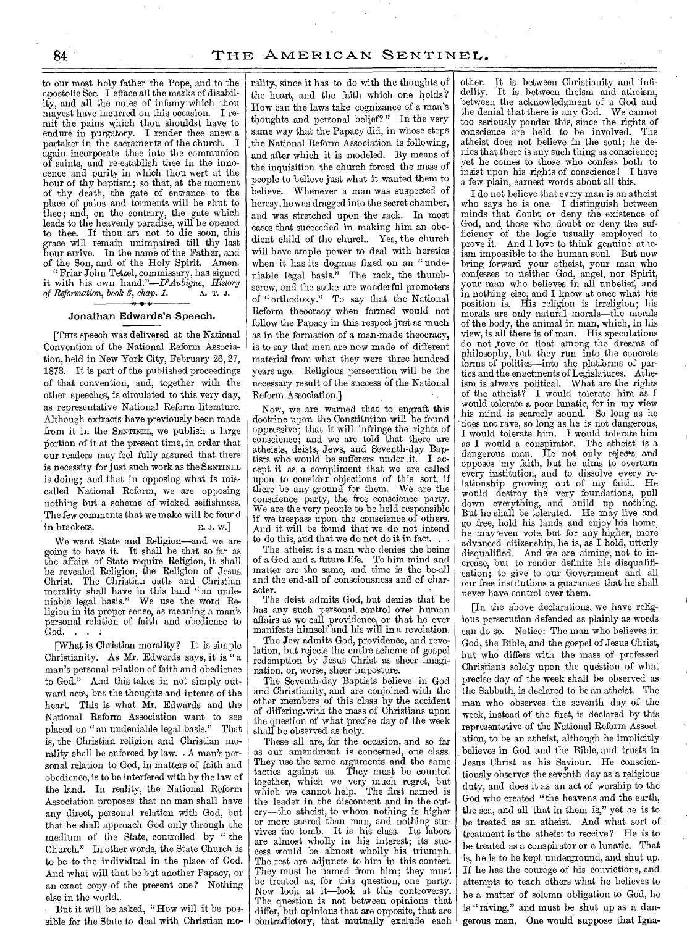to our most holy father the Pope, and to the apostolic See. I efface all the marks of disability, and all the notes of infamy which thou mayest have incurred on this occasion. I remit the pains which thou shouldst have to endure in purgatory. I render thee anew a partaker in the sacraments of the church. I again incorporate thee into the communion of saints, and re-establish thee in the innocence and purity in which thou wert at the hour of thy baptism; so that, at the moment of thy death, the gate of entrance to the place of pains and torments will be shut to thee; and, on the contrary, the gate which leads to the heavenly paradise, will be opened to thee. If thou art not to die soon, this grace will remain unimpaired till thy last hour arrive. In the name of the Father, and of the Son, and of the Holy Spirit. Amen. " Friar John Tetzel, commissary, has signed

it with his own *hand."—D'Aubigne, History*  of Reformation, book 3, chap. 1. **A. T. J.** 

# Jonathan Edwards's Speech.

[THIS speech was delivered at the National Convention of the National Reform Association, held in New York City, February 26, 27, 1873. It is part of the published proceedings of that convention, and, together with the other speeches, is circulated to this very day, as representative National Reform literature. Although extracts have previously been made from it in the SENTINEL, we publish a large portion of it at the present time, in order that our readers may feel fully assured that there is necessity for just such work as the SENTINEL is doing; and that in opposing what is miscalled National Reform, we are opposing nothing but a scheme of wicked selfishness. The few comments that we make will be found in brackets. E. J. w.]

We want State and Religion—and we are going to have it. It shall be that so far as the affairs of State require Religion, it shall be revealed Religion, the Religion of Jesus Christ. The Christian oath. and Christian morality shall have in this land " an undeniable legal basis." We use the word Religion in its proper sense, as meaning a man's personal relation of faith and obedience to God. . . .

[What is Christian morality? It is simple Christianity. As Mr. Edwards says, it is " a man's personal relation of faith and obedience to God." And this takes in not simply outward acts, but the thoughts and intents of the heart. This is what Mr. Edwards and the National Reform Association want to see placed on " an undeniable legal basis." That is, the Christian religion and Christian morality shall be enforced by law. • A man's personal relation to God, in matters of faith and obedience, is to be interfered with by the law of the land. In reality, the National Reform Association proposes that no man shall have any direct, personal relation with God, but that he shall approach God only through the medium of the State, controlled by " the Church." In other words, the State Church is to be to the individual in the place of God. And what will that be but another Papacy, or an exact copy of the present one? Nothing else in the world.

But it will be asked, "How will it be poseible for the State to deal with Christian morality, since it has to do with the thoughts of the heart, and the faith which one holds? How can the laws take cognizance of a man's thoughts and personal belief? " In the very same way that the Papacy did, in whose steps the National Reform Association is following, and after which it is modeled. By means of the inquisition the church forced the mass of people to believe just what it wanted them to believe. Whenever a man was suspected of heresy, he was dragged into the secret chamber, and was stretched upon the rack. In most cases that succeeded in making him an obedient child of the church. Yes, the church will have ample power to deal with heretics when it has its dogmas fixed on an " undeniable legal basis." The rack, the thumbscrew, and the stake are wonderful promoters of " orthodoxy." To say that the National Reform theocracy when formed would not follow the Papacy in this respect just as much as in the formation of a man-made theocracy, is to say that men are now made of different material from what they were three hundred years ago. Religious persecution will be the necessary result of the success of the National Reform Association.]

Now, we are warned that to engraft this doctrine upon the Constitution will be found oppressive; that it will infringe the rights of conscience; and we are told that there are atheists, deists, Jews, and Seventh-day Baptists who would be sufferers under it. I accept it as a compliment that we are called upon to consider objections of this sort, if there be any ground for them. We are the conscience party, the free conscience party. We are the very people to be held responsible if we trespass upon the conscience of others. And it will be found that we do not intend to do this, and that we do not do it in fact. . .

The atheist is a man who denies the being of a God and a future life. To him mind and matter are the same, and time is the be-all and the end-all of consciousness and of character.

The deist admits God, but denies that he has any such personal, control over human affairs as we call providence, or that he ever manifests himself 'and. his will in a revelation.

The Jew admits God, providence, and revelation, but rejects the entire scheme of gospel redemption by Jesus Christ as sheer imagination, or, worse, sheer imposture.

The Seventh-day Baptists believe in God and Christianity, and are conjoined with the other members of this class by the accident of differing.with the mass of Christians upon the question of what precise day of the week shall be observed as holy.

These all are, for the occasion, and so far as our amendment is concerned, one class. They use the same arguments and the same tactics against us. They must be counted together, which we very much regret, but which we cannot help. The first named is the leader in the discontent and in the outcry—the atheist, to whom nothing is higher or more sacred than man, and nothing survives the tomb. It is his class. Its labors are almost wholly in his interest; its success would be almost wholly his triumph. The rest are adjuncts to him in this contest. They must be named from him; they must be treated as, for this question, one party. Now look at it—look at this controversy. The question is not between opinions that differ, but opinions that are opposite, that are cbntradictory, that mutually exclude each

other. It is between Christianity and infi-It is between theism and atheism, between the acknowledgment of a God and the denial that there is any God. We cannot too seriously ponder this, since the rights of conscience are held to be involved. The atheist does not believe in the soul; he denies that there is any such thing as conscience; yet he comes to those who confess both to insist upon his rights of conscience! I have a few plain, earnest words about all this.

I do not believe that every man is an atheist who says he is one. I distinguish between minds that doubt or deny the existence of God, and those who doubt or deny the sufficiency of the logic usually employed to prove it. And I love to think genuine atheism impossible to the human soul. But now bring forward your atheist, your man who confesses to neither God, angel, nor Spirit, your man who believes in all unbelief, and in nothing else, and I know at once what his position is. His religion is irreligion; his morals are only natural morals—the morals of the body, the animal in man, which, in his view, is all there is of man. His speculations do not .rove or float among the dreams of philosophy, but they run into the concrete forms of politics—into the platforms of parties and the enactments of Legislatures. Atheism is always political. What are the rights of the atheist? I would tolerate him as I would tolerate a poor lunatic, for in my view his mind is scarcely sound. So long as he 'does not rave, so long as he is not dangerous, I would tolerate him. I would tolerate him as I would a conspirator. The atheist is a dangerous man. He not only rejects and opposes my faith, but he aims to overturn every institution, and to dissolve every relationship growing out of my faith. He would destroy the very foundations, down everything, and build up nothing. But he shall be tolerated. He may live and go free, hold his lands and enjoy his home, he may 'even vote, but for any higher, more advanced citizenship, he is, as I hold, utterly disqualified. And we are aiming, not to increase, but to render definite his disqualification; to give to our Government and all our free institutions a guarantee that he shall never have control over them.

[In the above declarations, we have religious persecution defended as plainly as words can do so. Notice: The man who believes in God, the Bible, and the gospel of Jesus Christ, but who differs with the mass of professed Christians solely upon the question of what precise day of the week shall be observed as the Sabbath, is declared to be an atheist. The man who observes the seventh day of the week, instead of the first, is declared by this representative of the National Reform Association, to be an atheist, although he implicitly believes in God and the Bible, and trusts in Jesus Christ as his Saviour. He conscientiously observes the seventh day as a religious duty, and does it as an act of worship to the God who created "the heavens and the earth, the sea, and all that in them is," yet he is to be treated as an atheist. And what sort of treatment is the atheist to receive ? He is to be treated as a conspirator or a lunatic. That is, he is to be kept underground, and shut up. If he has the courage of his convictions, and attempts to teach others what he believes to be a matter of solemn obligation to God, he is " raving," and must be shut up as a dangerous man. One would suppose that Igna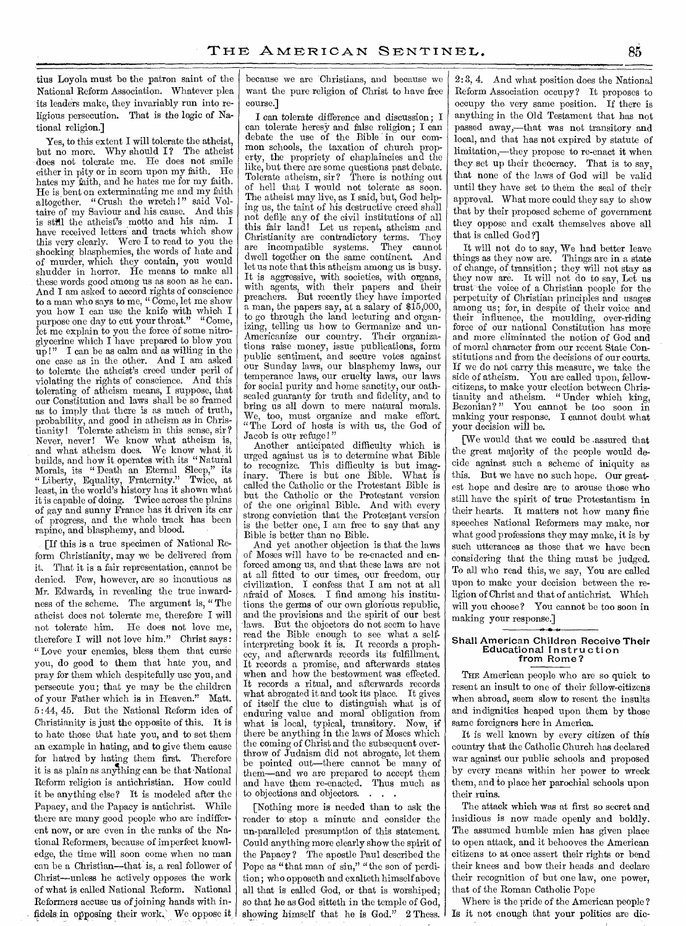tius Loyola must be the patron saint of the National Reform Association. Whatever plea its leaders make, they invariably run into religious persecution. That is the logic of National religion.]

Yes, to this extent I will tolerate the atheist, but no more. Why should I? The atheist does not tolerate me. He does not smile either in pity or in scorn upon my faith. He hates my faith, and he hates me for my faith. He is bent on exterminating me and my faith altogether. "Crush the wretch!" said Voltaire of my Saviour and his cause. And this is still the atheist's motto and his aim. I have received letters and tracts which show this very clearly. Were I to read to you the shocking blasphemies, the words of hate and of murder, which they contain, you would shudder in horror. He means to make all these words good among us as soon as he can. And I am asked to accord rights of conscience to a man who says to me, " Come, let me show you how I can use the knife with which I purpose one day to cut your throat." "Come, let me explain to you the force of some nitroglycerine which I have prepared to blow you up !" **I** can be as calm and as willing in the one case as in the other. And I am asked to tolerate the atheist's creed under peril of violating the rights of conscience. And this tolerating of atheism means, I suppose, that our Constitution and laws shall be so framed as to imply that there is as much of truth, probability, and good in atheism as in Christianity! Tolerate atheism in this sense, sir? Never, never! We know what atheism is, and what atheism does. We know what it builds, and how it operates with its "Natural Morals, its " Death an Eternal Sleep," its " Liberty, Equality, Fraternity." Twice, at least, in the world's history has it shown what it is capable of doing. Twice across the plains of gay and sunny France has it driven its car of progress, and the whole track has been rapine, and blasphemy, and blood.

[If this is a true specimen of National Reform Christianity, may we be delivered from it. That it is a fair representation, cannot be denied. Few, however, are so incautious as Mr. Edwards, in revealing the true inwardness of the scheme. The argument is, " The atheist does not tolerate me, therefore I will not tolerate him. He does not love me, therefore I will not love him." Christ says: " Love your enemies, bless them that curse you, do good to them that hate you, and pray for them which despitefully use you, and persecute you; that ye may be the children of your Father which is in Heaven." Matt. 5 : 44, 45. But the National Reform idea of Christianity is just the opposite of this. It is to hate those that hate you, and to set them an example in hating, and to give them cause for hatred by hating them first. Therefore it is as plain as anything can be that National Reform religion is antichristian. How could it be anything else? It is modeled after the Papacy, and the Papacy is antichrist. While there are many good people who are indifferent now, or are even in the ranks of the National Reformers, because of imperfect knowledge, the time will soon come when no man can be a Christian—that is, a real follower of Christ—unless he actively opposes the work of what is called National Reform. National Reformers accuse us of joining hands with infidels in opposing their work. We oppose it because we are Christians, and because we want the pure religion of Christ to have free course.]

I can tolerate difference and discussion; I can tolerate heresy and false religion; I can debate the use of the Bible in our common schools, the taxation of church property, the propriety of chaplaincies and the like, but there are some questions past debate. Tolerate atheism, sir? There is nothing out of hell that I would not tolerate as soon. The atheist may live, as I said, but, God helping us, the taint of his destructive creed shall not defile any of the civil institutions of all this fair land! Let us repeat, atheism and Christianity are contradictory terms. They are incompatible systems. They cannot dwell together on the same continent. And let us note that this atheism among us is busy. It is aggressive, with societies, with organs, with agents, with their papers and their preachers. But recently they have imported a man, the papers say, at a salary of \$15,000, to go through the land lecturing and organizing, telling us how to Germanize and un-Americanize our country. Their organizations raise money, issue publications, form public sentiment, and secure votes against our Sunday laws, our blasphemy laws, our temperance laws, our cruelty laws, our laws for social purity and home sanctity, our oathsealed guaranty for truth and fidelity, and to bring us all down to mere natural morals. We, too, must organize and make effort. "The Lord of hosts is with us, the God of Jacob is our refuge!"

Another anticipated difficulty which is urged against us is to determine what Bible to recognize. This difficulty is but imaginary. There is but one Bible. What is There is but one Bible. called the Catholic or the Protestant Bible is but the Catholic or the Protestant version of the one original Bible. And with every strong conviction that the Protestant version is the better one, I am free to say that any Bible is better than no Bible.

And yet another objection is that the laws of Moses will have to be re-enacted and enforced among us, and that these laws are not at all fitted to our times, our freedom, our civilization. I confess that I am not at all afraid of Moses. I find among his institutions the germs of our own glorious republic, and the provisions and the spirit of our best laws. But the objectors do not seem to have read the Bible enough to see what a selfinterpreting book it is. It records a prophecy, and aterwards records its fulfillment. It records a promise, and afterwards states when and how the bestowment was effected. It records a ritual, and afterwards records what abrogated it and took its place. It gives of itself the clue to distinguish what is of enduring value and moral obligation from what is local, typical, transitory. Now, if there be anything in the laws of Moses which the coming of Christ and the subsequent overthrow of Judaism did not abrogate, let them be pointed out—there cannot be many of them—and we are prepared to accept them and have them re-enacted. Thus much as to objections and objectors. . . .

[Nothing more is needed than to ask the reader to stop a minute and consider the un-paralleled presumption of this statement. Could anything more clearly show the spirit of the Papacy ? The apostle Paul described the Pope as "that man of sin," "the son of perdition; who opposeth and exalteth himself above all that is called God, or that is worshiped; so that he as God sitteth in the temple of God, showing himself that he is God." 2 Thess.

2: 3, 4. And what position does the National Reform Association occupy? It proposes to occupy the very same position. If there is anything in the Old Testament that has not passed away,—that was not transitory and local, and that has not expired by statute of limitation,—they propose to re-enact it when they set up their theocracy. That is to say, that none of the laws of God will be valid until they have set to them the seal of their approval. What more could they say to show that by their proposed scheme of government they oppose and exalt themselves above all that is called God ?]

It will not do to say, We had better leave things as they now are. Things are in a state of change, of transition; they will not stay as they now are. It will not do to say, Let us trust the voice of a Christian people for the perpetuity of Christian principles and usages among us; for, in despite of their voice and their influence, the moulding, over-riding force of our national Constitution has more and more eliminated the notion of God and of moral character from our recent State Constitutions and from the decisions of our courts. If we do not carry this measure, we take the side of atheism. You are called upon, fellowcitizens, to make your election between Christianity and atheism. "Under which king, Bezonian? " You cannot be too soon in making your response. I cannot doubt what your decision will be.

[We would that we could be .assured that the great majority of the people would decide against such a scheme of iniquity as this. But we have no such hope. Our greatest hope and desire are to arouse those who still have the spirit of true Protestantism in their hearts. It matters not how many fine speeches National Reformers may make, nor what good professions they may make, it is by such utterances as those that we have been considering that the thing must be judged. To all who read this, we say, You are called upon to make your decision between the religion of Christ and that of antichrist. Which will you choose? You cannot be too soon in making your response.]

### Shall American Children Receive Their Educational Instruction from Rome?

**4.** 

THE American people who are so quick to resent an insult to one of their fellow-citizens when abroad, seem slow to resent the insults and indignities heaped upon them by those same foreigners here in America.

It is well known by every citizen of this country that the Catholic Church has declared war against our public schools and proposed by every means within her power to wreck them, and to place her parochial schools upon their ruins.

The attack which was at first so secret and insidious is now made openly and boldly. The assumed humble mien has given place to open attack, and it behooves the American citizens to at once assert their rights or bend their knees and bow their heads and declare their recognition of but one law, one power, that of the Roman Catholic Pope

Where is the pride of the American people ? Is it not enough that your politics are dic-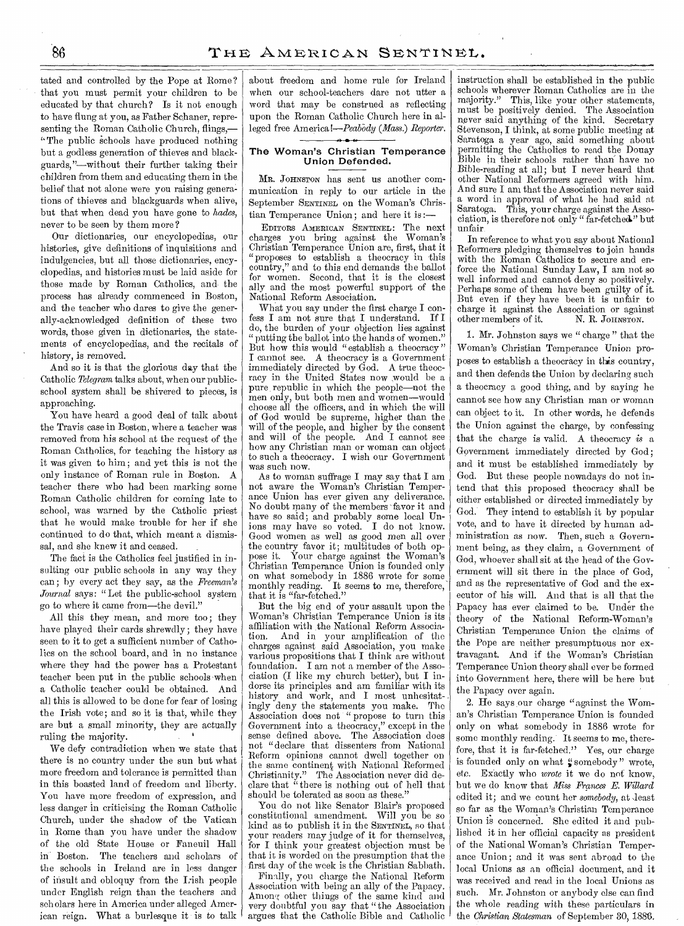tated and controlled by the Pope at Rome ? that you must permit your children to be educated by that church? Is it not enough to have flung at you, as Father Schaner, representing the Roman Catholic Church, flings,— "The public schools have produced nothing but a godless generation of thieves and blackguards,"—without their further taking their children from them and educating them in the belief that not alone were you raising genera: tions of thieves and blackguards when alive, but that when dead you have gone to *hades,*  never to be seen by them more?

Our dictionaries, our encyclopedias, our histories, give definitions of inquisitions and indulgencies, but all those dictionaries, encyclopedias, and histories must be laid aside for those made by Roman Catholics, and the process has already commenced in Boston, and the teacher who dares to give the generally-acknowledged definition of these two words, those given in dictionaries, the statements of encyclopedias, and the recitals of history, is removed.

And so it is that the glorious day that the Catholic *Telegram* talks about, when our publicschool system shall be shivered to pieces, is approaching.

You have heard a good deal of talk about the Travis case in Boston, where a teacher was removed from his school at the request of the Roman Catholics, for teaching the history as it was given to him; and yet this is not the only instance of Roman rule in Boston. A teacher there who had been marking some Roman Catholic children for coming late to school, was warned by the Catholic priest that he would make trouble for her if she continued to do that, which meant a dismissal, and she knew it and ceased.

The fact is the Catholics feel justified in insulting our public schools in any way they can; by every act they say, as the *Freeman's Journal* says: "Let the public-school system go to where it came from—the devil."

All this they mean, and more too; they have played their cards shrewdly; they have seen to it to get a sufficient number of Catholics on the school board, and in no instance where they had the power has a Protestant teacher been put in the public schools -when a Catholic teacher could be obtained. And all this is allowed to be done for fear of losing the Irish vote; and so it is that, while they are but a small minority, they are actually ruling the majority.

We defy contradiction when we state that there is no country under the sun but what more freedom and tolerance is permitted than in this boasted land of freedom and liberty. You have more freedom of expression, and less danger in criticising the Roman Catholic Church, under the shadow of the Vatican in Rome than you have under the shadow of the old State House or Faneuil Hall in' Boston. The teachers and scholars of the schools in Ireland are in less danger of insult and obloquy from the I:ish people under English reign than the teachers and scholars here in America under alleged American reign. What a burlesque it is to talk

about freedom and home rule for Ireland when our school-teachers dare not utter a word that may be construed as reflecting upon the Roman Catholic Church here in alleged free America!—Peabody *(Mass.) Reporter.* 

# The Woman's Christian Temperance Union Defended.

MR. JOHNSTON has sent us another communication in reply to our article in the September SENTINEL on the Woman's Christian Temperance Union; and here it is :-

EDITORS AMERICAN SENTINEL: The next charges you bring against the Woman's Christian Temperance Union are, first, that it "proposes to establish a theocracy in this country," and to this end demands the ballot for women. Second, that it is the closest ally and the most powerful support of the National Reform Association.

What you say under the first charge I confess I am not sure that I understand. If I do, the burden of your objection lies against " putting the ballot into the hands of women." But how this would "establish a theocracy" I cannot see. A theocracy is a Government immediately directed by  $\check{G}$ od. A true theocracy in the United States now would be a pure republic in which the people—not the men only, but both men and women—would choose all the officers, and in which the will of God would be supreme, higher than the will of the people, and higher by the consent and will of the people. And I cannot see how any Christian man or woman can object to such a theocracy. I wish our Government was such now.

As to woman suffrage I may say that I am not aware the Woman's Christian Temperance Union has ever given any deliverance. No doubt many of the members favor it and have so said; and probably some local Unions may have so voted. I do not know. Good women as well as good men all over the country favor it; multitudes of both oppose it. Your charge against the Woman's Christian Temperance Union is founded only on what somebody in 1886 wrote for some monthly reading. It seems to me, therefore, that it is "far-fetched."

But the big end of your assault upon the Woman's Christian Temperance Union is its affiliation with the National Reform Associa-And in your amplification of the charges against said Association, you make various propositions that I think are without<br>foundation. I am not a member of the Asso-I am not a member of the Association (I like my church better), but I indorse its principles and am familiar with its history and work, and I most unhesitatingly deny the statements you make. The Association does not " propose to turn this Government into a theocracy," except in the sense defined above. The Association does not "declare that dissenters from National Reform opinions cannot dwell together on the same continent with National Reformed Christianity." The Association never did declare that "there is nothing out of hell that should be tolerated as soon as these."

You do not like Senator Blair's proposed constitutional amendment. Will you be so kind as to publish it in the SENTINEL, so that your readers may judge of it for themselves, for I think your greatest objection must be that it is worded on the presumption that the first day of the week is the Christian Sabbath.

Finally, you charge the National Reform Association with being an ally of the Papacy. Among other things of the same kind and very doubtful you say that "the Association argues that the Catholic Bible and Catholic instruction shall be established in the public schools wherever Roman Catholics are in the majority." This, like your other statements, must be positively denied. The Association never said anything of the kind. Secretary Stevenson, I think, at some public meeting at Saratoga a year ago, said something about permitting the Catholics to read the Donay Bible in their schools rather than: have no Bible-reading at all; but I never heard that other National Reformers agreed with him. And sure I am that the Association never said a word. in approval of what he had said at Saratoga: This, your charge against the Association, is therefore not only " far-fetched." but unfair

In reference to what you say about National Reformers pledging themselves to join hands with the Roman Catholics to secure and enforce the National Sunday Law, I am not so well informed and cannot deny so positively. Perhaps some of them have been guilty of it. But even if they have been it is unfair to charge it against the Association or against<br>other members of it. N. R. JOHNSTON. other members of it.

1. Mr. Johnston says we " charge " that the Woman's Christian Temperance Union proposes to establish a theocracy in this country, and then defends the Union by declaring such a theocracy a good thing, and by saying he cannot see how any Christian man or woman can object to it. In other words, he defends the Union against the charge, by confessing that the charge is valid. A theocracy *is* a Government immediately directed by God; and it must be established immediately by God. But these people nowadays do not intend that this proposed theocracy shall be either established or directed immediately by God. They intend to establish it by popular vote, and to have it directed by human administration as now. Then, such a Government being, as they claim, a Government of God, whoever shall sit at the head of the Government will sit there in the place of God, and as the representative of God and the executor of his will. And that is all that the Papacy has ever claimed to be. Under the theory of the National Reform-Woman's Christian Temperance Union the claims of the Pope are neither presumptuous nor extravagant. And if the Woman's Christian Temperance Union theory shall ever be formed into Government here, there will be here but the Papacy over again.

2. He says our charge "against the Woman's Christian Temperance Union is founded only on what somebody in 1886 wrote for some monthly reading. It seems to me, therefore, that it is far-fetched." Yes, our charge is founded only on what "somebody" wrote, etc. Exactly who *wrote* it we do not know, but we do know that *Miss Frances E. Willard*  edited it; and we count her *somebody*, at least so far as the Woman's Christian Temperance Union is concerned. She edited it and published it in her official capacity as president of the National Woman's Christian Temperance Union; and it was sent abroad to the local Unions as an official document, and it was received and read in the local Unions as such. Mr. Johnston or anybody else can find the whole reading with these particulars in the *Christian Statesman* of September 30, 1886.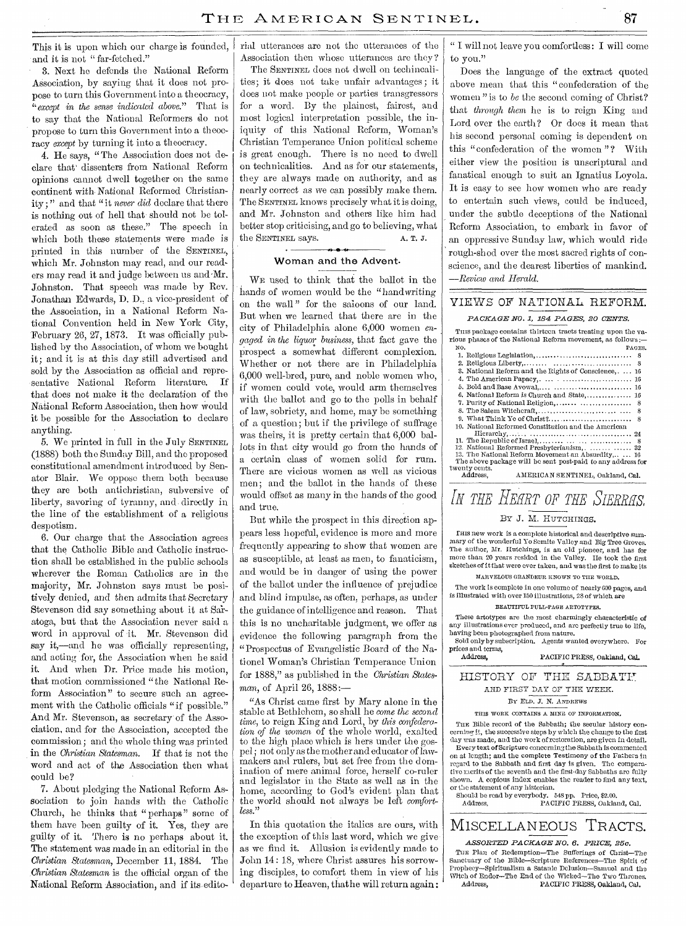This it is upon which our charge is founded, and it is not "far-fetched."

3. Next he defends the National Reform Association, by saying that it does not propose to turn this Government into a theocracy, *"except in the sense indicated above."* That is to say that the National Reformers do not propose to turn this Government into a theocracy *except* by turning it into a theocracy.

4. He says, " The Association does not declare that' dissenters from National Reform opinions cannot dwell together on the same continent with, National Reformed Christianity ; " and that "it *never did* declare that there is nothing out of hell that should not be tolerated as soon as these." The speech in which both these statements were made is printed in this number of the SENTINEL, which Mr. Johnston may read, and our readers may read it and judge between us and•Mr. Johnston. That speech was made by Rev. Jonathan Edwards, D. D., a vice-president of the Association, in a National Reform National Convention held in New York City, February 26, 27, 1873. It was officially published by the Association, of whom we bought it; and it is at this day still advertised and sold by the Association as official and repre-,sentative National Reform literature. If that does not make it the declaration of the National Reform Association, then how would it be possible for the Association to declare anything.

5. We printed in full in the July SENTINEL (1888) both the Sunday Bill, and the proposed constitutional amendment introduced by Senator Blair. We oppose them both because they are both antichristian, subversive of liberty, savoring of tyranny, and directly in the line of the establishment of a religious despotism.

6. Our charge that the Association agrees that the Catholic Bible and Catholic instruction shall be established in the public schools wherever the Roman Catholics are in the majority, Mr. Johnston says must be positively denied, and then admits that Secretary Stevenson did say something about it at Sa'ratoga, but that the Association never said a word in approval of it. Mr. Stevenson did say it,—and he was officially representing, and acting for, the Association when he said it. And when Dr. Price made his motion, that motion commissioned "the National Reform Association" to secure such an agreement with the Catholic officials "if possible." And Mr. Stevenson, as secretary' of the Association, and for the Association, accepted the commission; and the whole thing was printed in the *Christian Statesman.* If that is not the word and act of the Association then what could be?

7. About pledging the National Reform Association to join hands with the Catholic Church, he thinks that " perhaps" some of them have been guilty of it. Yes, they are guilty of it. There is no perhaps about it. The statement was made in an editorial in the *Christian Statesman,* December 11, 1884. The *,Christian Statesman* is the official organ of the National Reform Association, and if its-editorial utterances are not the utterances of the Association then whose utterances are they?

The SENTINEL does not dwell on techincalities; it does not take unfair advantages; it does not make people or parties transgressors for a word. By the plainest, fairest, and most logical interpretation possible, the iniquity of this National Reform, Woman's Christian Temperance Union political scheme is great enough. There is no need to dwell on technicalities. And as for our statements, they are always made on authority, and as nearly correct as we can possibly make them. The SENTINEL knows precisely what it is doing, and Mr. Johnston and others like him had better stop criticising, and go to believing, what the SENTINEL *says.* A. T. J.

# Woman and the Advent.

WE used to think that the ballot in the hands of women would be the "handwriting on the wall " for the saloons of our land. But when we learned that there are in the city of Philadelphia alone 6,000 women *engaged in the liquor business,* that fact gave the prospect a somewhat different complexion. Whether or not there are in Philadelphia 6,000 well-bred, pure, and noble women who, if women could vote, would arm themselves with the ballot and go to the polls in behalf of law, sobriety, and home, may be something of a question; but if the privilege of suffrage was theirs, it is pretty certain that 6,000 ballots in that city would go from the hands of a certain class of women solid for rum. There are vicious women as well as vicious men; and the ballot in the hands of these would offset as many in the hands of the good and true.

But while the prospect in this direction appears less hopeful, evidence is more and more frequently appearing to show that women are as susceptible, at least as men, to fanaticism, and would be in danger of using the power of the ballot under the influence of prejudice and blind impulse, as often, perhaps, as under the guidance of intelligence and reason. That this is no uncharitable judgment, we offer as evidence the following paragraph from the "Prospectus of Evangelistic Board of the Nationel 'Woman's Christian Temperance Union for 1888," as published in the *Christian Statesman,* of April 26, 1888:—

"As Christ came first by Mary alone in the stable at Bethlehem, so shall he *come the second time,* to reign King and Lord, by *this confederation of the women* of the whole world, exalted to the high place which is hers under the gospel; not only as the mother and educator of lawmakers and rulers, but set free from the domination of mere animal force, herself co-ruler and legislator in the State as well as in the home, according to God's evident plan that the world should not always be left *comfortless."* 

In this quotation the italics are ours, with the exception of this last word, which we give as we find it. Allusion is evidently made to John 14 : 18, where Christ assures his sorrowing disciples, to comfort them in view of his departure to Heaven, that he will return again:

" I will not leave you comfortless: I will come to you."

Does the language of the extract quoted above mean that this "confederation of the women " is to *be* the second coming of Christ? that *through them* he is to reign King and Lord over the earth? Or does it mean that his second personal coming is dependent on this "confederation of the women"? With either view the position is unscriptural and fanatical enough to suit an Ignatius Loyola. It is easy to see how women who are ready to entertain such views, could be induced, under the subtle deceptions of the National Reform Association, to embark in favor of an oppressive Sunday law, which would ride rough-shod over the most sacred rights of conscience, and the dearest liberties of mankind. *—Review and Herald.* 

# VIEWS OF NATIONAL. REFORM.

# *PACKAGE NO. 1, 184 PAGES, 20 CENTS.*

| This package contains thirteen tracts treating upon the va-                            |
|----------------------------------------------------------------------------------------|
| rious phases of the National Reform movement, as follows:-                             |
| NO.<br>PAGES.                                                                          |
|                                                                                        |
| 8                                                                                      |
| 3. National Reform and the Rights of Conscience,  16                                   |
| 4. The American Papacy, $\ldots$ . $\ldots$ . $\ldots$ . $\ldots$ . $16$               |
|                                                                                        |
| 6. National Reform is Church and State, 16                                             |
| 7. Purity of National Religion,<br>8                                                   |
| 8                                                                                      |
|                                                                                        |
| 10. National Reformed Constitution and the American                                    |
| $\text{Hierarchy}, \ldots, \ldots, \ldots, \ldots, \ldots, \ldots, \ldots, \ldots, 24$ |
| 11. The Republic of Israel, $\dots \dots \dots \dots \dots \dots \dots \dots$<br>8     |
| 12. National Reformed Presbyterianism,  32                                             |
| 13. The National Reform Movement an Absurdity, 16                                      |
| The above package will be sent post-paid to any address for                            |
| twenty cents.                                                                          |
| Address.<br>AMERICAN SENTINEL, Oakland, Cal.                                           |

# IN THE HEART OF THE SIERRAS. BY J. M. HUTCHINGS.

Ems new work is a complete historical and descriptive summary of the wonderful Ye Semite Valley and BigTree Groves. The author, Mr. Hutchings, is an old pioneer, and has for more than 20 years resided in the Valley. He took the first sketches of it that were ever taken, and was the first to make its

MARVELOUS GRANDEUR KNOWN TO THE WORLD.

The work is complete in one volume of nearly 600 pages, and is illustrated with over 150 illustrations, 28 of which are

#### BEAUTIFUL PULL-PAGE ARTOTYPES.

These artotypes are the most charmingly characteristic of any illustrations ever produced, and arc perfectly true to life, having been photographed from nature. Sold only by subscription. Agents wanted everywhere. For prices and terms,<br>Address.

PACIFIC PRESS, Oakland, Cal.

# HISTORY OF THE SABBATH AND FIRST DAY OF THE WEEK.

BY ELD. J. N. ANDREWS

THIS WORK CONTAINS A MINE OF INFORMATION.

THE Bible record of the Sabbath; the secular history concerning it, the successive steps by which the change to the first day was made, and the work of restoration, are given in detail. Every text of Scripture concerningthe Sabbath is commented on at length; and the complete Testimony of the Fathers in regard to the Sabbath and first day is given. The comparative merits of the seventh and the first-day Sabbaths are fully shown. A. copious index enables the reader to find any text, or the statement of any historian.

Should be read by everybody. 548 pp. Price, \$2.00. PACIFIC PRESS, Oakland, Cal.

# MISCELLANEOUS TRACTS.

*ASSORTED PACKAGE NO. 6. PRICE, 25c.*  THE Plan of Redemption-The Sufferings of Christ-The Sanctuary of the Bible—Scripture References—The Spirit of Prophecy—Spiritualism a Satanic Delusion—Samuel and the Witch of Endor—The End of the Wicked—The Two Thrones.<br>Address, PACIFIC PRESS, Oakland, Cal. PACIFIC PRESS, Oakland, Cal.